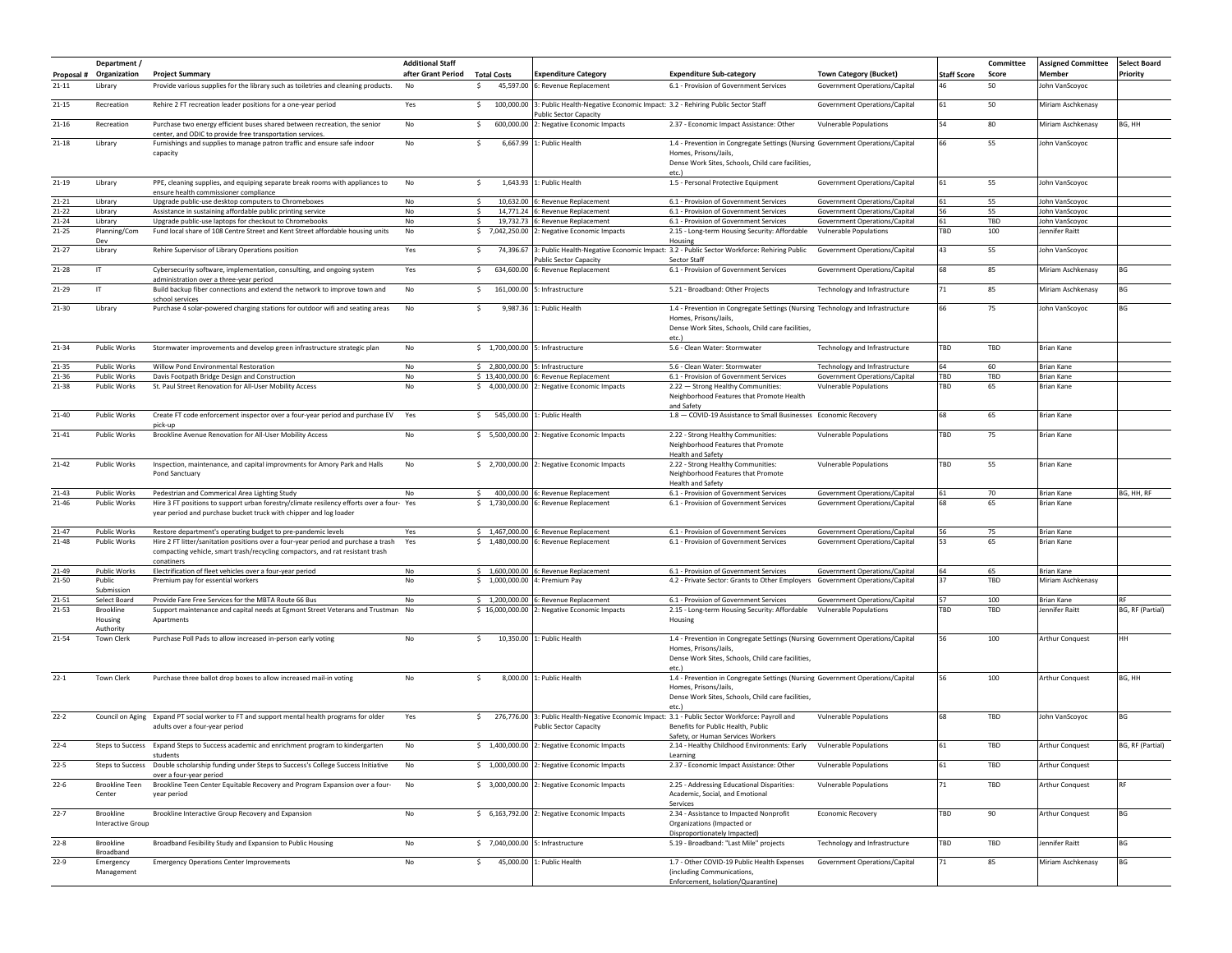| Proposal #             | Department /<br>Organization   | <b>Project Summary</b>                                                                                                                                                            | <b>Additional Staff</b><br>after Grant Period | <b>Total Costs</b>                 | <b>Expenditure Category</b>                                                           | <b>Expenditure Sub-category</b>                                                                                                                                       | <b>Town Category (Bucket)</b>                                  | <b>Staff Score</b> | Committee<br>Score | <b>Assigned Committee</b><br>Member | <b>Select Board</b><br>Priority |
|------------------------|--------------------------------|-----------------------------------------------------------------------------------------------------------------------------------------------------------------------------------|-----------------------------------------------|------------------------------------|---------------------------------------------------------------------------------------|-----------------------------------------------------------------------------------------------------------------------------------------------------------------------|----------------------------------------------------------------|--------------------|--------------------|-------------------------------------|---------------------------------|
| $21 - 11$              | Library                        | Provide various supplies for the library such as toiletries and cleaning products.                                                                                                | No                                            | s.                                 | 45,597.00 6: Revenue Replacement                                                      | 6.1 - Provision of Government Services                                                                                                                                | Government Operations/Capital                                  |                    | 50                 | John VanScoyoc                      |                                 |
| $21 - 15$              | Recreation                     | Rehire 2 FT recreation leader positions for a one-year period                                                                                                                     | Yes                                           | $\mathsf{S}$<br>100,000.00         | 3: Public Health-Negative Economic Impact: 3.2 - Rehiring Public Sector Staff         |                                                                                                                                                                       | Government Operations/Capital                                  | 61                 | 50                 | Miriam Aschkenasy                   |                                 |
| $21 - 16$              | Recreation                     | Purchase two energy efficient buses shared between recreation, the senior                                                                                                         | No                                            | s.<br>600,000.00                   | ublic Sector Capacity<br>2: Negative Economic Impacts                                 | 2.37 - Economic Impact Assistance: Other                                                                                                                              | <b>Vulnerable Populations</b>                                  | 54                 | 80                 | Miriam Aschkenasy                   | BG, HH                          |
|                        |                                | center, and ODIC to provide free transportation services.                                                                                                                         |                                               |                                    |                                                                                       |                                                                                                                                                                       |                                                                |                    |                    |                                     |                                 |
| $21 - 18$              | Library                        | Furnishings and supplies to manage patron traffic and ensure safe indoor<br>capacity                                                                                              | No                                            | \$.                                | 6,667.99 1: Public Health                                                             | 1.4 - Prevention in Congregate Settings (Nursing Government Operations/Capital<br>Homes, Prisons/Jails<br>Dense Work Sites, Schools, Child care facilities,           |                                                                | 66                 | 55                 | John VanScoyoc                      |                                 |
|                        |                                |                                                                                                                                                                                   |                                               |                                    |                                                                                       | etc.)                                                                                                                                                                 |                                                                |                    |                    |                                     |                                 |
| $21 - 19$              | Library                        | PPE, cleaning supplies, and equiping separate break rooms with appliances to<br>ensure health commissioner compliance                                                             | No                                            | $\mathsf{S}$                       | 1,643.93 1: Public Health                                                             | 1.5 - Personal Protective Equipment                                                                                                                                   | Government Operations/Capital                                  | 61                 | 55                 | John VanScoyoc                      |                                 |
| $21 - 21$              | Library                        | Upgrade public-use desktop computers to Chromeboxes                                                                                                                               | No                                            | \$.                                | 10,632.00 6: Revenue Replacement                                                      | 6.1 - Provision of Government Services                                                                                                                                | Government Operations/Capital                                  | 61                 | 55                 | John VanScoyoc                      |                                 |
| $21 - 22$<br>$21 - 24$ | Library<br>Library             | Assistance in sustaining affordable public printing service<br>Upgrade public-use laptops for checkout to Chromebooks                                                             | No<br>No                                      | 14,771.24<br>\$<br>19,732.73<br>s. | 6: Revenue Replacement<br>6: Revenue Replacement                                      | 6.1 - Provision of Government Services<br>6.1 - Provision of Government Services                                                                                      | Government Operations/Capital<br>Government Operations/Capital | 56<br>61           | 55<br>TBD          | John VanScoyoc<br>John VanScoyoc    |                                 |
| $21 - 25$              | Planning/Com                   | Fund local share of 108 Centre Street and Kent Street affordable housing units                                                                                                    | No                                            | \$7,042,250.00                     | 2: Negative Economic Impacts                                                          | 2.15 - Long-term Housing Security: Affordable                                                                                                                         | <b>Vulnerable Populations</b>                                  | TBD                | 100                | Jennifer Raitt                      |                                 |
| $21 - 27$              | Dev                            |                                                                                                                                                                                   |                                               |                                    |                                                                                       | Housing<br>3: Public Health-Negative Economic Impact: 3.2 - Public Sector Workforce: Rehiring Public                                                                  |                                                                | 43                 |                    |                                     |                                 |
|                        | Library                        | Rehire Supervisor of Library Operations position                                                                                                                                  | Yes                                           | \$<br>74,396.67                    | ublic Sector Capacity                                                                 | Sector Staff                                                                                                                                                          | Government Operations/Capital                                  |                    | 55                 | John VanScoyoc                      |                                 |
| 21-28                  | IT                             | Cybersecurity software, implementation, consulting, and ongoing system<br>administration over a three-year period                                                                 | Yes                                           | \$634,600.00                       | 6: Revenue Replacement                                                                | 6.1 - Provision of Government Services                                                                                                                                | Government Operations/Capital                                  | 68                 | 85                 | Miriam Aschkenasy                   | BG                              |
| 21-29                  | IT                             | Build backup fiber connections and extend the network to improve town and<br>school services                                                                                      | No                                            | $\mathsf{S}$<br>161,000.00         | 5: Infrastructure                                                                     | 5.21 - Broadband: Other Projects                                                                                                                                      | Technology and Infrastructure                                  | 71                 | 85                 | Miriam Aschkenasy                   | BG                              |
| $21 - 30$              | Library                        | Purchase 4 solar-powered charging stations for outdoor wifi and seating areas                                                                                                     | No                                            | \$<br>9,987.36                     | : Public Health                                                                       | 1.4 - Prevention in Congregate Settings (Nursing Technology and Infrastructure<br>Homes, Prisons/Jails,                                                               |                                                                | 66                 | 75                 | John VanScoyoc                      | BG                              |
|                        |                                |                                                                                                                                                                                   |                                               |                                    |                                                                                       | Dense Work Sites, Schools, Child care facilities,<br>etc.)                                                                                                            |                                                                |                    |                    |                                     |                                 |
| 21-34                  | Public Works                   | Stormwater improvements and develop green infrastructure strategic plan                                                                                                           | No                                            | \$ 1,700,000.00 5: Infrastructure  |                                                                                       | 5.6 - Clean Water: Stormwater                                                                                                                                         | Technology and Infrastructure                                  | TBD                | TBD                | <b>Brian Kane</b>                   |                                 |
| $21 - 35$              | Public Works                   | Willow Pond Environmental Restoration                                                                                                                                             | No                                            | \$2,800,000.00                     | 5: Infrastructure                                                                     | 5.6 - Clean Water: Stormwater                                                                                                                                         | Technology and Infrastructure                                  | 64                 | 60                 | <b>Brian Kane</b>                   |                                 |
| 21-36<br>21-38         | Public Works<br>Public Works   | Davis Footpath Bridge Design and Construction<br>St. Paul Street Renovation for All-User Mobility Access                                                                          | No<br>No                                      |                                    | \$13,400,000.00 6: Revenue Replacement<br>\$4,000,000.00 2: Negative Economic Impacts | 6.1 - Provision of Government Services<br>2.22 - Strong Healthy Communities:<br>Neighborhood Features that Promote Health<br>and Safety                               | Government Operations/Capital<br><b>Vulnerable Populations</b> | TBD<br>TBD         | TBD<br>65          | Brian Kane<br><b>Brian Kane</b>     |                                 |
| 21-40                  | <b>Public Works</b>            | Create FT code enforcement inspector over a four-year period and purchase EV<br>pick-up                                                                                           | Yes                                           | $\mathsf{S}$                       | 545,000.00 1: Public Health                                                           | 1.8 - COVID-19 Assistance to Small Businesses Economic Recovery                                                                                                       |                                                                | 68                 | 65                 | <b>Brian Kane</b>                   |                                 |
| 21-41                  | Public Works                   | Brookline Avenue Renovation for All-User Mobility Access                                                                                                                          | No                                            |                                    | \$ 5,500,000.00 2: Negative Economic Impacts                                          | 2.22 - Strong Healthy Communities:<br>Neighborhood Features that Promote<br>Health and Safety                                                                         | <b>Vulnerable Populations</b>                                  | TBD                | 75                 | <b>Brian Kane</b>                   |                                 |
| $21 - 42$              | Public Works                   | Inspection, maintenance, and capital improvments for Amory Park and Halls<br>Pond Sanctuary                                                                                       | No                                            |                                    | \$2,700,000.00 2: Negative Economic Impacts                                           | 2.22 - Strong Healthy Communities:<br>Neighborhood Features that Promote<br><b>Health and Safety</b>                                                                  | <b>Vulnerable Populations</b>                                  | TBD                | 55                 | <b>Brian Kane</b>                   |                                 |
| $21 - 43$              | Public Works                   | Pedestrian and Commerical Area Lighting Study                                                                                                                                     | No                                            | S.                                 | 400,000.00 6: Revenue Replacement                                                     | 6.1 - Provision of Government Services                                                                                                                                | Government Operations/Capital                                  | 61                 | 70                 | <b>Brian Kane</b>                   | BG, HH, RF                      |
| 21-46                  | Public Works                   | Hire 3 FT positions to support urban forestry/climate resilency efforts over a four- Yes<br>year period and purchase bucket truck with chipper and log loader                     |                                               |                                    | \$1,730,000.00 6: Revenue Replacement                                                 | 6.1 - Provision of Government Services                                                                                                                                | Government Operations/Capital                                  | 68                 | 65                 | <b>Brian Kane</b>                   |                                 |
| $21 - 47$              | Public Works                   | Restore department's operating budget to pre-pandemic levels                                                                                                                      | Yes                                           |                                    | \$1,467,000.00 6: Revenue Replacement                                                 | 6.1 - Provision of Government Services                                                                                                                                | Government Operations/Capital                                  | 56                 | 75                 | <b>Brian Kane</b>                   |                                 |
| $21 - 48$              | Public Works                   | Hire 2 FT litter/sanitation positions over a four-year period and purchase a trash<br>compacting vehicle, smart trash/recycling compactors, and rat resistant trash<br>conatiners | Yes                                           |                                    | \$1,480,000.00 6: Revenue Replacement                                                 | 6.1 - Provision of Government Services                                                                                                                                | Government Operations/Capital                                  | 53                 | 65                 | <b>Brian Kane</b>                   |                                 |
| 21-49                  | <b>Public Works</b>            | Electrification of fleet vehicles over a four-year period                                                                                                                         | No                                            |                                    | \$1,600,000.00 6: Revenue Replacement                                                 | 6.1 - Provision of Government Services                                                                                                                                | Government Operations/Capital                                  | 64                 | 65                 | Brian Kane                          |                                 |
| 21-50                  | Public<br>Submission           | Premium pay for essential workers                                                                                                                                                 | No                                            | \$1,000,000.00 4: Premium Pay      |                                                                                       | 4.2 - Private Sector: Grants to Other Employers Government Operations/Capital                                                                                         |                                                                | 37                 | TBD                | Miriam Aschkenasy                   |                                 |
| 21-51                  | Select Board                   | Provide Fare Free Services for the MBTA Route 66 Bus                                                                                                                              | No                                            |                                    | \$1,200,000.00 6: Revenue Replacement                                                 | 6.1 - Provision of Government Services                                                                                                                                | Government Operations/Capital                                  | 57                 | 100                | <b>Brian Kane</b>                   | <b>RF</b>                       |
| 21-53                  | <b>Brookline</b>               | Support maintenance and capital needs at Egmont Street Veterans and Trustman No                                                                                                   |                                               |                                    | \$ 16,000,000.00 2: Negative Economic Impacts                                         | 2.15 - Long-term Housing Security: Affordable                                                                                                                         | <b>Vulnerable Populations</b>                                  | TBD                | TBD                | Jennifer Raitt                      | BG, RF (Partial)                |
|                        | Housing<br>Authority           | Apartments                                                                                                                                                                        |                                               |                                    |                                                                                       | Housing                                                                                                                                                               |                                                                |                    |                    |                                     |                                 |
| 21-54                  | Town Clerk                     | Purchase Poll Pads to allow increased in-person early voting                                                                                                                      | No                                            | \$                                 | 10,350.00 1: Public Health                                                            | 1.4 - Prevention in Congregate Settings (Nursing Government Operations/Capital<br>Homes, Prisons/Jails,<br>Dense Work Sites, Schools, Child care facilities,<br>etc.) |                                                                | 56                 | 100                | Arthur Conquest                     | HH                              |
| $22 - 1$               | Town Clerk                     | Purchase three ballot drop boxes to allow increased mail-in voting                                                                                                                | No                                            | s.                                 | 8,000.00 1: Public Health                                                             | 1.4 - Prevention in Congregate Settings (Nursing Government Operations/Capital<br>Homes, Prisons/Jails,<br>Dense Work Sites, Schools, Child care facilities,          |                                                                | 56                 | 100                | Arthur Conquest                     | BG, HH                          |
| $22 - 2$               |                                | Council on Aging Expand PT social worker to FT and support mental health programs for older<br>adults over a four-year period                                                     | Yes                                           |                                    | <b>Public Sector Capacity</b>                                                         | etc.)<br>\$276,776.00 3: Public Health-Negative Economic Impact: 3.1 - Public Sector Workforce: Payroll and<br>Benefits for Public Health, Public                     | <b>Vulnerable Populations</b>                                  | 68                 | TBD                | John VanScoyoc                      | BG                              |
| $22 - 4$               |                                | Steps to Success Expand Steps to Success academic and enrichment program to kindergarten                                                                                          | No                                            |                                    | \$1,400,000.00 2: Negative Economic Impacts                                           | Safety, or Human Services Workers<br>2.14 - Healthy Childhood Environments: Early Vulnerable Populations                                                              |                                                                | 61                 | TBD                | <b>Arthur Conquest</b>              | BG, RF (Partial)                |
| $22 - 5$               |                                | students<br>Steps to Success Double scholarship funding under Steps to Success's College Success Initiative                                                                       | No                                            |                                    | \$1,000,000.00 2: Negative Economic Impacts                                           | Learning<br>2.37 - Economic Impact Assistance: Other                                                                                                                  | Vulnerable Populations                                         | 61                 | TBD                | Arthur Conquest                     |                                 |
| $22 - 6$               | <b>Brookline Teen</b>          | over a four-year period<br>Brookline Teen Center Equitable Recovery and Program Expansion over a four-                                                                            | No                                            |                                    | \$ 3,000,000.00 2: Negative Economic Impacts                                          | 2.25 - Addressing Educational Disparities:                                                                                                                            | <b>Vulnerable Populations</b>                                  | 71                 | TBD                | <b>Arthur Conquest</b>              | <b>RF</b>                       |
|                        | Center                         | year period                                                                                                                                                                       |                                               |                                    |                                                                                       | Academic, Social, and Emotional<br>Services                                                                                                                           |                                                                |                    |                    |                                     |                                 |
| $22 - 7$               | Brookline<br>Interactive Group | Brookline Interactive Group Recovery and Expansion                                                                                                                                | No                                            |                                    | \$ 6,163,792.00 2: Negative Economic Impacts                                          | 2.34 - Assistance to Impacted Nonprofit<br>Organizations (Impacted or<br>Disproportionately Impacted)                                                                 | Economic Recovery                                              | TBD                | 90                 | Arthur Conquest                     | BG                              |
| $22 - 8$               | Brookline<br>Broadband         | Broadband Fesibility Study and Expansion to Public Housing                                                                                                                        | No                                            | \$7,040,000.00 5: Infrastructure   |                                                                                       | 5.19 - Broadband: "Last Mile" projects                                                                                                                                | Technology and Infrastructure                                  | TBD                | TBD                | Jennifer Raitt                      | BG                              |
| $22-9$                 | Emergency<br>Management        | <b>Emergency Operations Center Improvements</b>                                                                                                                                   | No                                            | \$                                 | 45,000.00 1: Public Health                                                            | 1.7 - Other COVID-19 Public Health Expenses<br>(including Communications,<br>Enforcement, Isolation/Quarantine)                                                       | Government Operations/Capital                                  | 71                 | 85                 | Miriam Aschkenasy                   | BG                              |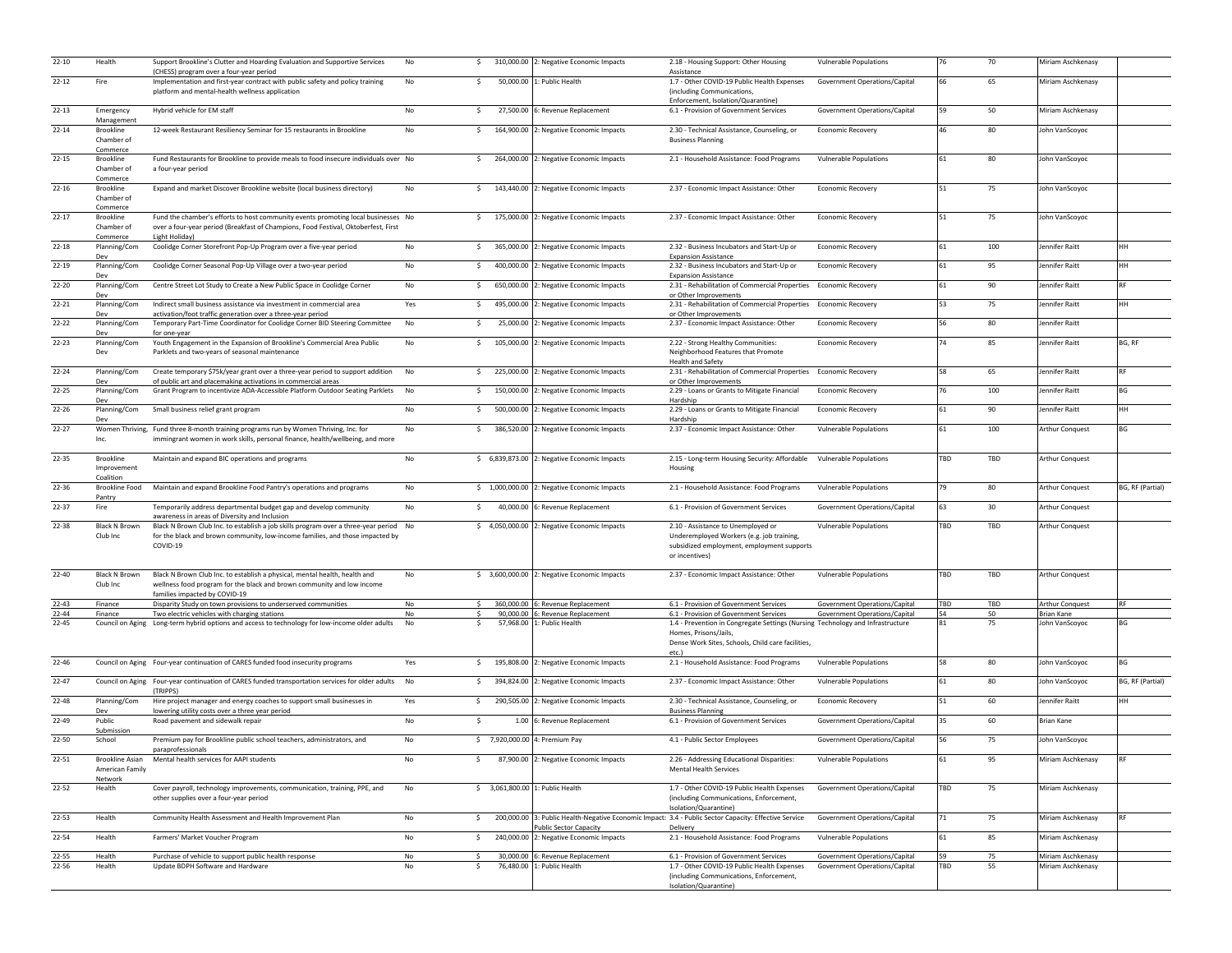| $22 - 10$          | Health                                     | Support Brookline's Clutter and Hoarding Evaluation and Supportive Services<br>(CHESS) program over a four-year period                                                                                                              | No            |              | \$310,000.00 2: Negative Economic Impacts                                                             | 2.18 - Housing Support: Other Housing<br>Assistance                                                                                                                   | <b>Vulnerable Populations</b>                                  | 76        | 70              | Miriam Aschkenasy                    |                  |
|--------------------|--------------------------------------------|-------------------------------------------------------------------------------------------------------------------------------------------------------------------------------------------------------------------------------------|---------------|--------------|-------------------------------------------------------------------------------------------------------|-----------------------------------------------------------------------------------------------------------------------------------------------------------------------|----------------------------------------------------------------|-----------|-----------------|--------------------------------------|------------------|
| $22 - 12$          | Fire                                       | Implementation and first-year contract with public safety and policy training<br>platform and mental-health wellness application                                                                                                    | No            | \$           | 50,000.00 1: Public Health                                                                            | 1.7 - Other COVID-19 Public Health Expenses<br>(including Communications,<br>Enforcement, Isolation/Quarantine)                                                       | Government Operations/Capital                                  | 66        | 65              | Miriam Aschkenasy                    |                  |
| $22 - 13$          | Emergency<br>Management                    | Hybrid vehicle for EM staff                                                                                                                                                                                                         | No            | -\$          | 27,500.00 6: Revenue Replacement                                                                      | 6.1 - Provision of Government Services                                                                                                                                | Government Operations/Capital                                  | 59        | 50              | Miriam Aschkenasy                    |                  |
| $22 - 14$          | Brookline<br>Chamber of<br>Commerce        | 12-week Restaurant Resiliency Seminar for 15 restaurants in Brookline                                                                                                                                                               | No            | S.           | 164,900.00 2: Negative Economic Impacts                                                               | 2.30 - Technical Assistance, Counseling, or<br><b>Business Planning</b>                                                                                               | <b>Economic Recovery</b>                                       | 46        | 80              | John VanScoyoc                       |                  |
| $22 - 15$          | Brookline<br>Chamber of<br>Commerce        | Fund Restaurants for Brookline to provide meals to food insecure individuals over No<br>a four-year period                                                                                                                          |               |              | \$ 264,000.00 2: Negative Economic Impacts                                                            | 2.1 - Household Assistance: Food Programs                                                                                                                             | <b>Vulnerable Populations</b>                                  | 61        | 80              | John VanScoyoc                       |                  |
| $22 - 16$          | Brookline<br>Chamber of<br>Commerce        | Expand and market Discover Brookline website (local business directory)                                                                                                                                                             | No            |              | \$143,440.00 2: Negative Economic Impacts                                                             | 2.37 - Economic Impact Assistance: Other                                                                                                                              | <b>Economic Recovery</b>                                       | 51        | 75              | John VanScoyoc                       |                  |
| $22 - 17$          | <b>Brookline</b><br>Chamber of<br>Commerce | Fund the chamber's efforts to host community events promoting local businesses No<br>over a four-year period (Breakfast of Champions, Food Festival, Oktoberfest, First<br>Light Holiday)                                           |               |              | \$175,000.00 2: Negative Economic Impacts                                                             | 2.37 - Economic Impact Assistance: Other                                                                                                                              | <b>Economic Recovery</b>                                       | 51        | 75              | John VanScoyoc                       |                  |
| $22 - 18$          | Planning/Com<br>Dev                        | Coolidge Corner Storefront Pop-Up Program over a five-year period                                                                                                                                                                   | No            | $\mathsf{S}$ | 365,000.00 2: Negative Economic Impacts                                                               | 2.32 - Business Incubators and Start-Up or<br><b>Expansion Assistance</b>                                                                                             | Economic Recovery                                              | 61        | 100             | Jennifer Raitt                       | HH               |
| 22-19              | Planning/Com<br>Dev                        | Coolidge Corner Seasonal Pop-Up Village over a two-year period                                                                                                                                                                      | No            | S.           | 400,000.00 2: Negative Economic Impacts                                                               | 2.32 - Business Incubators and Start-Up or<br><b>Expansion Assistance</b>                                                                                             | <b>Economic Recovery</b>                                       | 61        | 95              | Jennifer Raitt                       | HH               |
| $22 - 20$          | Planning/Com<br>Dev                        | Centre Street Lot Study to Create a New Public Space in Coolidge Corner                                                                                                                                                             | No            | Ś.           | 650,000.00 2: Negative Economic Impacts                                                               | 2.31 - Rehabilitation of Commercial Properties Economic Recovery<br>or Other Improvements                                                                             |                                                                | 61        | 90              | Jennifer Raitt                       | <b>RF</b>        |
| $22 - 21$          | Planning/Com<br>Dev                        | Indirect small business assistance via investment in commercial area<br>activation/foot traffic generation over a three-year period                                                                                                 | Yes           | \$           | 495,000.00 2: Negative Economic Impacts                                                               | 2.31 - Rehabilitation of Commercial Properties Economic Recovery<br>or Other Improvements                                                                             |                                                                | 53        | 75              | Jennifer Raitt                       | HH               |
| $22 - 22$          | Planning/Com<br>Dev                        | Temporary Part-Time Coordinator for Coolidge Corner BID Steering Committee<br>for one-year                                                                                                                                          | No            | \$.          | 25,000.00 2: Negative Economic Impacts                                                                | 2.37 - Economic Impact Assistance: Other                                                                                                                              | <b>Economic Recovery</b>                                       | 56        | 80              | Jennifer Raitt                       |                  |
| $22 - 23$          | Planning/Com<br>Dev                        | Youth Engagement in the Expansion of Brookline's Commercial Area Public<br>Parklets and two-years of seasonal maintenance                                                                                                           | No            | \$           | 105,000.00 2: Negative Economic Impacts                                                               | 2.22 - Strong Healthy Communities:<br>Neighborhood Features that Promote<br><b>Health and Safety</b>                                                                  | <b>Economic Recovery</b>                                       | 74        | 85              | Jennifer Raitt                       | BG, RF           |
| $22 - 24$          | Planning/Com                               | Create temporary \$75k/year grant over a three-year period to support addition                                                                                                                                                      | No            | \$           | 225,000.00 2: Negative Economic Impacts                                                               | 2.31 - Rehabilitation of Commercial Properties Economic Recovery                                                                                                      |                                                                | 58        | 65              | Jennifer Raitt                       | <b>RF</b>        |
| $22 - 25$          | Dev<br>Planning/Com<br>Dev                 | of public art and placemaking activations in commercial areas<br>Grant Program to incentivize ADA-Accessible Platform Outdoor Seating Parklets                                                                                      | No            | \$           | 150,000.00 2: Negative Economic Impacts                                                               | or Other Improvements<br>2.29 - Loans or Grants to Mitigate Financial<br>Hardship                                                                                     | <b>Economic Recovery</b>                                       | 76        | 100             | Jennifer Raitt                       | BG               |
| $22 - 26$          | Planning/Com                               | Small business relief grant program                                                                                                                                                                                                 | No            |              | \$ 500,000.00 2: Negative Economic Impacts                                                            | 2.29 - Loans or Grants to Mitigate Financial                                                                                                                          | <b>Economic Recovery</b>                                       | 61        | 90              | Jennifer Raitt                       | HH               |
| $22 - 27$          | Dev<br>Inc.                                | Women Thriving, Fund three 8-month training programs run by Women Thriving, Inc. for<br>immingrant women in work skills, personal finance, health/wellbeing, and more                                                               | No            |              | \$386,520.00 2: Negative Economic Impacts                                                             | Hardship<br>2.37 - Economic Impact Assistance: Other                                                                                                                  | <b>Vulnerable Populations</b>                                  | 61        | 100             | Arthur Conquest                      | BG               |
| 22-35              | Brookline<br>Improvement<br>Coalition      | Maintain and expand BIC operations and programs                                                                                                                                                                                     | $\mathsf{No}$ |              | \$ 6,839,873.00 2: Negative Economic Impacts                                                          | 2.15 - Long-term Housing Security: Affordable Vulnerable Populations<br>Housing                                                                                       |                                                                | TBD       | TBD             | Arthur Conquest                      |                  |
| $22 - 36$          | Brookline Food                             | Maintain and expand Brookline Food Pantry's operations and programs                                                                                                                                                                 | No            |              | \$1,000,000.00 2: Negative Economic Impacts                                                           | 2.1 - Household Assistance: Food Programs                                                                                                                             | <b>Vulnerable Populations</b>                                  | 79        | 80              | <b>Arthur Conquest</b>               | BG, RF (Partial) |
| $22 - 37$          | Pantry<br>Fire                             | Temporarily address departmental budget gap and develop community                                                                                                                                                                   | No            | $\sim$       | 40,000.00 6: Revenue Replacement                                                                      | 6.1 - Provision of Government Services                                                                                                                                | Government Operations/Capital                                  | 63        | 30 <sub>o</sub> | Arthur Conquest                      |                  |
| 22-38              | Black N Brown<br>Club Inc                  | awareness in areas of Diversity and Inclusion<br>Black N Brown Club Inc. to establish a job skills program over a three-year period No<br>for the black and brown community, low-income families, and those impacted by<br>COVID-19 |               |              | \$4,050,000.00 2: Negative Economic Impacts                                                           | 2.10 - Assistance to Unemployed or<br>Underemployed Workers (e.g. job training,<br>subsidized employment, employment supports<br>or incentives)                       | <b>Vulnerable Populations</b>                                  | TBD       | TBD             | Arthur Conquest                      |                  |
| $22 - 40$          | Black N Brown<br>Club Inc                  | Black N Brown Club Inc. to establish a physical, mental health, health and<br>wellness food program for the black and brown community and low income<br>families impacted by COVID-19                                               | No            |              | \$ 3,600,000.00 2: Negative Economic Impacts                                                          | 2.37 - Economic Impact Assistance: Other                                                                                                                              | Vulnerable Populations                                         | TBD       | TBD             | Arthur Conquest                      |                  |
| $22 - 43$<br>22-44 | Finance<br>Finance                         | Disparity Study on town provisions to underserved communities<br>Two electric vehicles with charging stations                                                                                                                       | No<br>No      |              | 360,000.00 6: Revenue Replacement<br>90,000.00 6: Revenue Replacement                                 | 6.1 - Provision of Government Services<br>6.1 - Provision of Government Services                                                                                      | Government Operations/Capital<br>Government Operations/Capital | TBD<br>54 | TBD<br>50       | <b>Arthur Conquest</b><br>Brian Kane | RF               |
| $22 - 45$          |                                            | Council on Aging Long-term hybrid options and access to technology for low-income older adults                                                                                                                                      | No            | -\$          | 57,968.00 1: Public Health                                                                            | 1.4 - Prevention in Congregate Settings (Nursing Technology and Infrastructure<br>Homes, Prisons/Jails,<br>Dense Work Sites, Schools, Child care facilities,<br>etc.) |                                                                | 81        | 75              | John VanScoyoc                       | <b>BG</b>        |
| $22 - 46$          |                                            | Council on Aging Four-year continuation of CARES funded food insecurity programs                                                                                                                                                    | Yes           | S.           | 195,808.00 2: Negative Economic Impacts                                                               | 2.1 - Household Assistance: Food Programs                                                                                                                             | <b>Vulnerable Populations</b>                                  | 58        | 80              | John VanScoyoc                       | BG               |
| $22 - 47$          |                                            | Council on Aging Four-year continuation of CARES funded transportation services for older adults No<br>(TRIPPS)                                                                                                                     |               |              | \$394,824.00 2: Negative Economic Impacts                                                             | 2.37 - Economic Impact Assistance: Other                                                                                                                              | <b>Vulnerable Populations</b>                                  | 61        | 80              | John VanScoyoc                       | BG, RF (Partial) |
| 22-48              | Planning/Com<br>Dev                        | Hire project manager and energy coaches to support small businesses in<br>lowering utility costs over a three year period                                                                                                           | Yes           | \$           | 290,505.00 2: Negative Economic Impacts                                                               | 2.30 - Technical Assistance, Counseling, or<br><b>Business Planning</b>                                                                                               | <b>Economic Recovery</b>                                       | 51        | 60              | Jennifer Raitt                       | HH               |
| 22-49              | Public<br>Submission                       | Road pavement and sidewalk repair                                                                                                                                                                                                   | No            | Ś.           | 1.00 6: Revenue Replacement                                                                           | 6.1 - Provision of Government Services                                                                                                                                | Government Operations/Capital                                  | 35        | 60              | <b>Brian Kane</b>                    |                  |
| $22 - 50$          | School                                     | Premium pay for Brookline public school teachers, administrators, and                                                                                                                                                               | No            |              | \$7,920,000.00 4: Premium Pay                                                                         | 4.1 - Public Sector Employees                                                                                                                                         | Government Operations/Capital                                  | 56        | 75              | John VanScoyoc                       |                  |
| 22-51              | American Family                            | paraprofessionals<br>Brookline Asian Mental health services for AAPI students                                                                                                                                                       | No            | -S           | 87,900.00 2: Negative Economic Impacts                                                                | 2.26 - Addressing Educational Disparities:<br><b>Mental Health Services</b>                                                                                           | <b>Vulnerable Populations</b>                                  | 61        | 95              | Miriam Aschkenasy                    | <b>RF</b>        |
| $22 - 52$          | Network<br>Health                          | Cover payroll, technology improvements, communication, training, PPE, and<br>other supplies over a four-year period                                                                                                                 | No            |              | \$ 3.061.800.00 1: Public Health                                                                      | 1.7 - Other COVID-19 Public Health Expenses<br>(including Communications, Enforcement,<br>Isolation/Quarantine)                                                       | Government Operations/Capital                                  | TBD       | 75              | Miriam Aschkenasy                    |                  |
| 22-53              | Health                                     | Community Health Assessment and Health Improvement Plan                                                                                                                                                                             | No            | $\mathsf{S}$ | 200,000.00 3: Public Health-Negative Economic Impact: 3.4 - Public Sector Capacity: Effective Service |                                                                                                                                                                       | Government Operations/Capital                                  | 71        | 75              | Miriam Aschkenasy                    | <b>RF</b>        |
| 22-54              | Health                                     | Farmers' Market Voucher Program                                                                                                                                                                                                     | No            | s.           | Public Sector Capacity<br>240,000.00 2: Negative Economic Impacts                                     | Delivery<br>2.1 - Household Assistance: Food Programs                                                                                                                 | Vulnerable Populations                                         | 61        | 85              | Miriam Aschkenasy                    |                  |
| $22 - 55$          | Health                                     | Purchase of vehicle to support public health response                                                                                                                                                                               | No            |              | 30,000.00 6: Revenue Replacement                                                                      | 6.1 - Provision of Government Services                                                                                                                                | Government Operations/Capital                                  | 59        | 75              | Miriam Aschkenasy                    |                  |
| $22 - 56$          | Health                                     | Update BDPH Software and Hardware                                                                                                                                                                                                   | No            | -\$          | 76,480.00 1: Public Health                                                                            | 1.7 - Other COVID-19 Public Health Expenses<br>(including Communications, Enforcement,<br>Isolation/Quarantine)                                                       | Government Operations/Capital                                  | <b>BD</b> | 55              | Miriam Aschkenasy                    |                  |